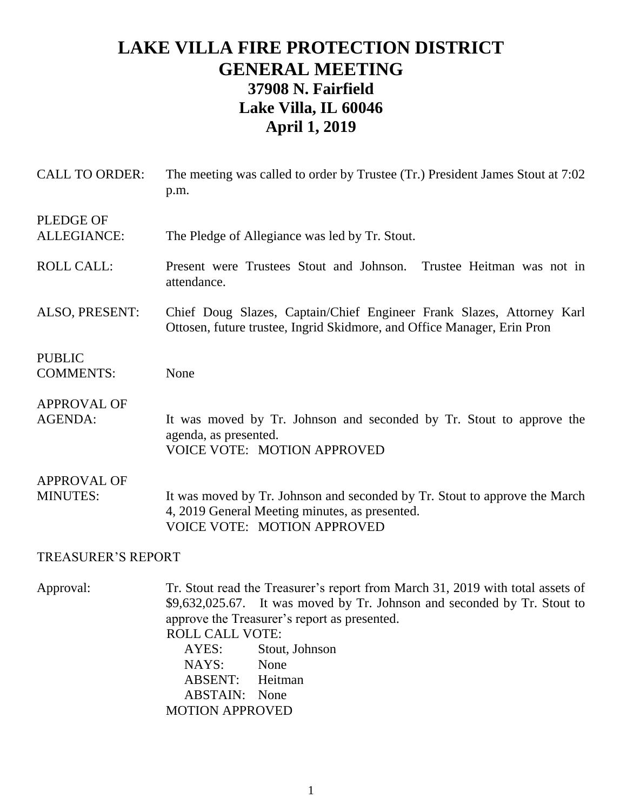## **LAKE VILLA FIRE PROTECTION DISTRICT GENERAL MEETING 37908 N. Fairfield Lake Villa, IL 60046 April 1, 2019**

| <b>CALL TO ORDER:</b>                  | The meeting was called to order by Trustee (Tr.) President James Stout at 7:02<br>p.m.                                                                                                                                                                                                                                |  |
|----------------------------------------|-----------------------------------------------------------------------------------------------------------------------------------------------------------------------------------------------------------------------------------------------------------------------------------------------------------------------|--|
| <b>PLEDGE OF</b><br><b>ALLEGIANCE:</b> | The Pledge of Allegiance was led by Tr. Stout.                                                                                                                                                                                                                                                                        |  |
| <b>ROLL CALL:</b>                      | Present were Trustees Stout and Johnson.<br>Trustee Heitman was not in<br>attendance.                                                                                                                                                                                                                                 |  |
| ALSO, PRESENT:                         | Chief Doug Slazes, Captain/Chief Engineer Frank Slazes, Attorney Karl<br>Ottosen, future trustee, Ingrid Skidmore, and Office Manager, Erin Pron                                                                                                                                                                      |  |
| <b>PUBLIC</b><br><b>COMMENTS:</b>      | None                                                                                                                                                                                                                                                                                                                  |  |
| <b>APPROVAL OF</b><br><b>AGENDA:</b>   | It was moved by Tr. Johnson and seconded by Tr. Stout to approve the<br>agenda, as presented.<br><b>VOICE VOTE: MOTION APPROVED</b>                                                                                                                                                                                   |  |
| <b>APPROVAL OF</b><br><b>MINUTES:</b>  | It was moved by Tr. Johnson and seconded by Tr. Stout to approve the March<br>4, 2019 General Meeting minutes, as presented.<br><b>VOICE VOTE: MOTION APPROVED</b>                                                                                                                                                    |  |
| <b>TREASURER'S REPORT</b>              |                                                                                                                                                                                                                                                                                                                       |  |
| Approval:                              | Tr. Stout read the Treasurer's report from March 31, 2019 with total assets of<br>\$9,632,025.67. It was moved by Tr. Johnson and seconded by Tr. Stout to<br>approve the Treasurer's report as presented.<br><b>ROLL CALL VOTE:</b><br>AYES:<br>Stout, Johnson<br>NAYS:<br>None<br>$\triangle$ RSENT $\cdot$ Heitman |  |

ABSENT: Heitman ABSTAIN: None MOTION APPROVED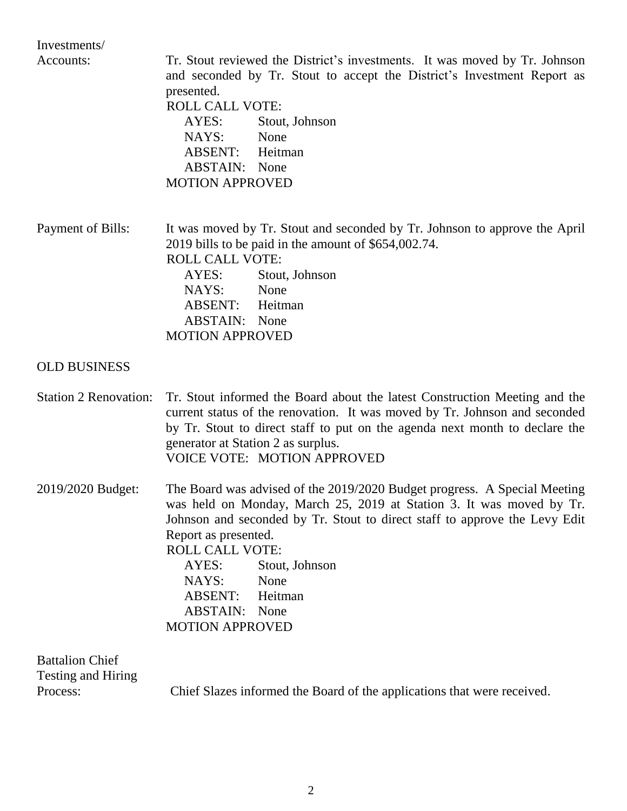Investments/

Accounts: Tr. Stout reviewed the District's investments. It was moved by Tr. Johnson and seconded by Tr. Stout to accept the District's Investment Report as presented. ROLL CALL VOTE: AYES: Stout, Johnson NAYS: None ABSENT: Heitman ABSTAIN: None MOTION APPROVED Payment of Bills: It was moved by Tr. Stout and seconded by Tr. Johnson to approve the April 2019 bills to be paid in the amount of \$654,002.74. ROLL CALL VOTE: AYES: Stout, Johnson NAYS: None ABSENT: Heitman ABSTAIN: None MOTION APPROVED OLD BUSINESS Station 2 Renovation: Tr. Stout informed the Board about the latest Construction Meeting and the current status of the renovation. It was moved by Tr. Johnson and seconded by Tr. Stout to direct staff to put on the agenda next month to declare the generator at Station 2 as surplus. VOICE VOTE: MOTION APPROVED 2019/2020 Budget: The Board was advised of the 2019/2020 Budget progress. A Special Meeting was held on Monday, March 25, 2019 at Station 3. It was moved by Tr. Johnson and seconded by Tr. Stout to direct staff to approve the Levy Edit Report as presented. ROLL CALL VOTE: AYES: Stout, Johnson

NAYS: None ABSENT: Heitman ABSTAIN: None MOTION APPROVED

| <b>Battalion Chief</b> |                                                                         |
|------------------------|-------------------------------------------------------------------------|
| Testing and Hiring     |                                                                         |
| Process:               | Chief Slazes informed the Board of the applications that were received. |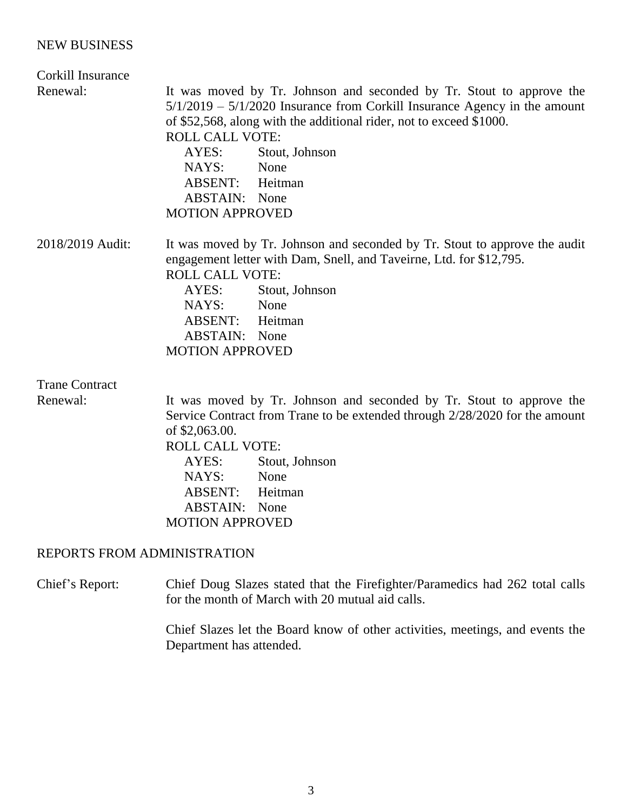## NEW BUSINESS

| Corkill Insurance           |                                                                                                                                                                                                                                                                                                                                                                              |
|-----------------------------|------------------------------------------------------------------------------------------------------------------------------------------------------------------------------------------------------------------------------------------------------------------------------------------------------------------------------------------------------------------------------|
| Renewal:                    | It was moved by Tr. Johnson and seconded by Tr. Stout to approve the<br>$5/1/2019 - 5/1/2020$ Insurance from Corkill Insurance Agency in the amount<br>of \$52,568, along with the additional rider, not to exceed \$1000.<br><b>ROLL CALL VOTE:</b><br>AYES:<br>Stout, Johnson<br>NAYS:<br>None<br><b>ABSENT:</b> Heitman<br><b>ABSTAIN:</b> None<br><b>MOTION APPROVED</b> |
| 2018/2019 Audit:            | It was moved by Tr. Johnson and seconded by Tr. Stout to approve the audit<br>engagement letter with Dam, Snell, and Taveirne, Ltd. for \$12,795.<br><b>ROLL CALL VOTE:</b><br>AYES:<br>Stout, Johnson<br>NAYS:<br>None<br>ABSENT:<br>Heitman<br><b>ABSTAIN:</b> None<br><b>MOTION APPROVED</b>                                                                              |
| <b>Trane Contract</b>       |                                                                                                                                                                                                                                                                                                                                                                              |
| Renewal:                    | It was moved by Tr. Johnson and seconded by Tr. Stout to approve the<br>Service Contract from Trane to be extended through 2/28/2020 for the amount<br>of \$2,063.00.<br><b>ROLL CALL VOTE:</b><br>Stout, Johnson<br>AYES:<br>NAYS:<br>None<br>ABSENT:<br>Heitman<br><b>ABSTAIN:</b> None<br><b>MOTION APPROVED</b>                                                          |
| REPORTS FROM ADMINISTRATION |                                                                                                                                                                                                                                                                                                                                                                              |
| Chief's Report:             | Chief Doug Slazes stated that the Firefighter/Paramedics had 262 total calls                                                                                                                                                                                                                                                                                                 |

for the month of March with 20 mutual aid calls.

Chief Slazes let the Board know of other activities, meetings, and events the Department has attended.